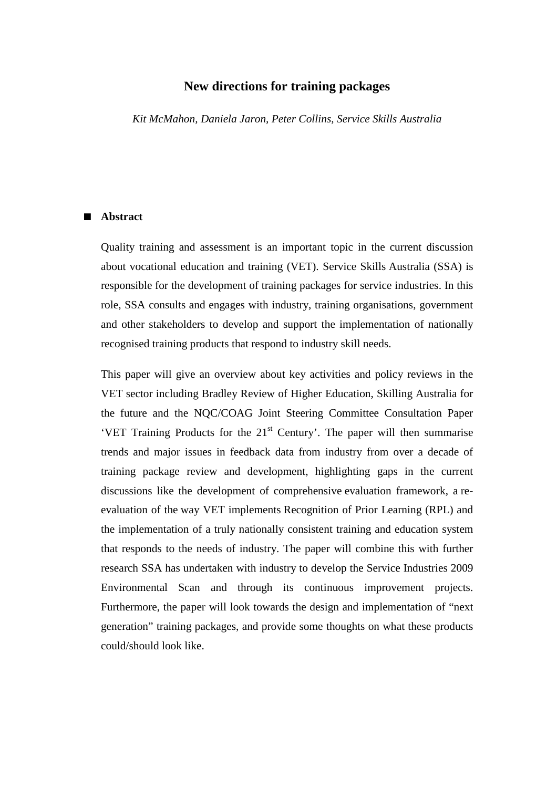# **New directions for training packages**

*Kit McMahon, Daniela Jaron, Peter Collins, Service Skills Australia* 

## ■ **Abstract**

Quality training and assessment is an important topic in the current discussion about vocational education and training (VET). Service Skills Australia (SSA) is responsible for the development of training packages for service industries. In this role, SSA consults and engages with industry, training organisations, government and other stakeholders to develop and support the implementation of nationally recognised training products that respond to industry skill needs.

This paper will give an overview about key activities and policy reviews in the VET sector including Bradley Review of Higher Education, Skilling Australia for the future and the NQC/COAG Joint Steering Committee Consultation Paper 'VET Training Products for the  $21<sup>st</sup>$  Century'. The paper will then summarise trends and major issues in feedback data from industry from over a decade of training package review and development, highlighting gaps in the current discussions like the development of comprehensive evaluation framework, a reevaluation of the way VET implements Recognition of Prior Learning (RPL) and the implementation of a truly nationally consistent training and education system that responds to the needs of industry. The paper will combine this with further research SSA has undertaken with industry to develop the Service Industries 2009 Environmental Scan and through its continuous improvement projects. Furthermore, the paper will look towards the design and implementation of "next generation" training packages, and provide some thoughts on what these products could/should look like.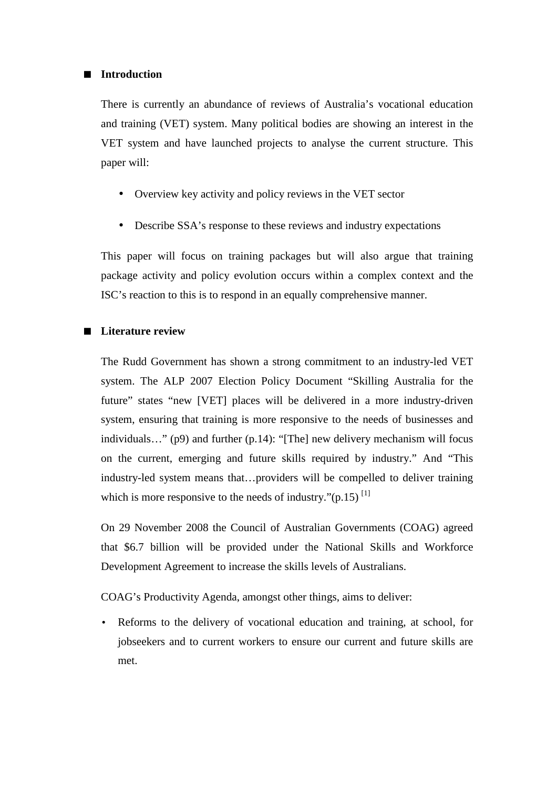## ■ **Introduction**

There is currently an abundance of reviews of Australia's vocational education and training (VET) system. Many political bodies are showing an interest in the VET system and have launched projects to analyse the current structure. This paper will:

- Overview key activity and policy reviews in the VET sector
- Describe SSA's response to these reviews and industry expectations

This paper will focus on training packages but will also argue that training package activity and policy evolution occurs within a complex context and the ISC's reaction to this is to respond in an equally comprehensive manner.

# ■ **Literature review**

The Rudd Government has shown a strong commitment to an industry-led VET system. The ALP 2007 Election Policy Document "Skilling Australia for the future" states "new [VET] places will be delivered in a more industry-driven system, ensuring that training is more responsive to the needs of businesses and individuals…" (p9) and further (p.14): "[The] new delivery mechanism will focus on the current, emerging and future skills required by industry." And "This industry-led system means that…providers will be compelled to deliver training which is more responsive to the needs of industry." $(p.15)$ <sup>[1]</sup>

On 29 November 2008 the Council of Australian Governments (COAG) agreed that \$6.7 billion will be provided under the National Skills and Workforce Development Agreement to increase the skills levels of Australians.

COAG's Productivity Agenda, amongst other things, aims to deliver:

• Reforms to the delivery of vocational education and training, at school, for jobseekers and to current workers to ensure our current and future skills are met.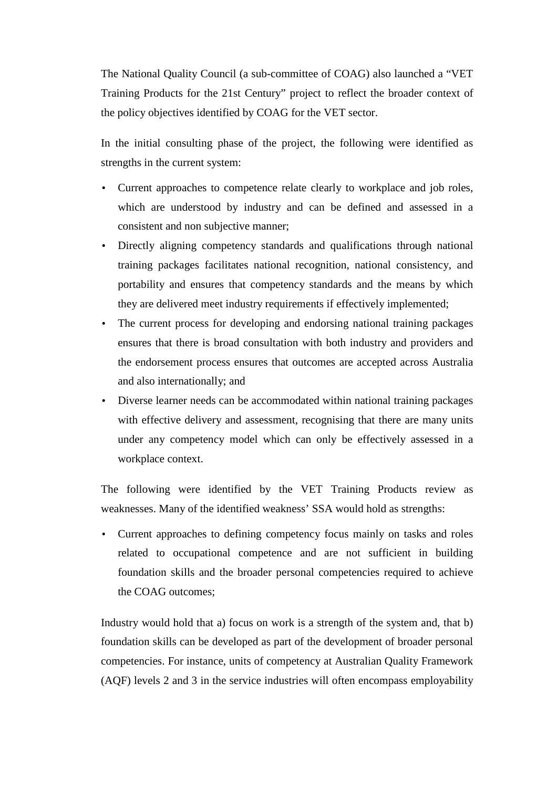The National Quality Council (a sub-committee of COAG) also launched a "VET Training Products for the 21st Century" project to reflect the broader context of the policy objectives identified by COAG for the VET sector.

In the initial consulting phase of the project, the following were identified as strengths in the current system:

- Current approaches to competence relate clearly to workplace and job roles, which are understood by industry and can be defined and assessed in a consistent and non subjective manner;
- Directly aligning competency standards and qualifications through national training packages facilitates national recognition, national consistency, and portability and ensures that competency standards and the means by which they are delivered meet industry requirements if effectively implemented;
- The current process for developing and endorsing national training packages ensures that there is broad consultation with both industry and providers and the endorsement process ensures that outcomes are accepted across Australia and also internationally; and
- Diverse learner needs can be accommodated within national training packages with effective delivery and assessment, recognising that there are many units under any competency model which can only be effectively assessed in a workplace context.

The following were identified by the VET Training Products review as weaknesses. Many of the identified weakness' SSA would hold as strengths:

• Current approaches to defining competency focus mainly on tasks and roles related to occupational competence and are not sufficient in building foundation skills and the broader personal competencies required to achieve the COAG outcomes;

Industry would hold that a) focus on work is a strength of the system and, that b) foundation skills can be developed as part of the development of broader personal competencies. For instance, units of competency at Australian Quality Framework (AQF) levels 2 and 3 in the service industries will often encompass employability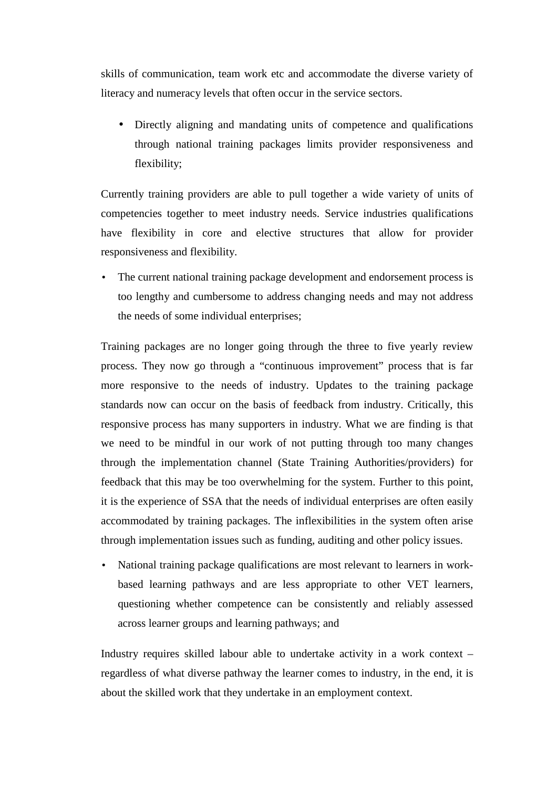skills of communication, team work etc and accommodate the diverse variety of literacy and numeracy levels that often occur in the service sectors.

• Directly aligning and mandating units of competence and qualifications through national training packages limits provider responsiveness and flexibility;

Currently training providers are able to pull together a wide variety of units of competencies together to meet industry needs. Service industries qualifications have flexibility in core and elective structures that allow for provider responsiveness and flexibility.

The current national training package development and endorsement process is too lengthy and cumbersome to address changing needs and may not address the needs of some individual enterprises;

Training packages are no longer going through the three to five yearly review process. They now go through a "continuous improvement" process that is far more responsive to the needs of industry. Updates to the training package standards now can occur on the basis of feedback from industry. Critically, this responsive process has many supporters in industry. What we are finding is that we need to be mindful in our work of not putting through too many changes through the implementation channel (State Training Authorities/providers) for feedback that this may be too overwhelming for the system. Further to this point, it is the experience of SSA that the needs of individual enterprises are often easily accommodated by training packages. The inflexibilities in the system often arise through implementation issues such as funding, auditing and other policy issues.

• National training package qualifications are most relevant to learners in workbased learning pathways and are less appropriate to other VET learners, questioning whether competence can be consistently and reliably assessed across learner groups and learning pathways; and

Industry requires skilled labour able to undertake activity in a work context – regardless of what diverse pathway the learner comes to industry, in the end, it is about the skilled work that they undertake in an employment context.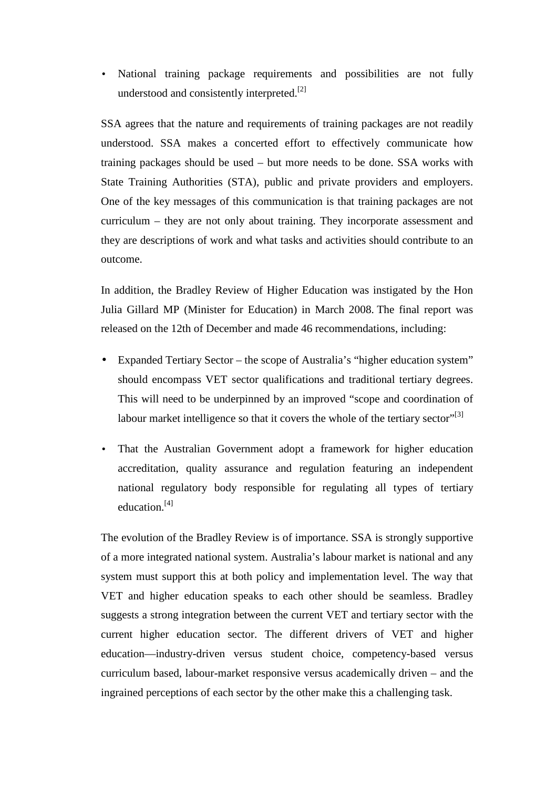• National training package requirements and possibilities are not fully understood and consistently interpreted.<sup>[2]</sup>

SSA agrees that the nature and requirements of training packages are not readily understood. SSA makes a concerted effort to effectively communicate how training packages should be used – but more needs to be done. SSA works with State Training Authorities (STA), public and private providers and employers. One of the key messages of this communication is that training packages are not curriculum – they are not only about training. They incorporate assessment and they are descriptions of work and what tasks and activities should contribute to an outcome.

In addition, the Bradley Review of Higher Education was instigated by the Hon Julia Gillard MP (Minister for Education) in March 2008. The final report was released on the 12th of December and made 46 recommendations, including:

- Expanded Tertiary Sector the scope of Australia's "higher education system" should encompass VET sector qualifications and traditional tertiary degrees. This will need to be underpinned by an improved "scope and coordination of labour market intelligence so that it covers the whole of the tertiary sector $"^{[3]}$
- That the Australian Government adopt a framework for higher education accreditation, quality assurance and regulation featuring an independent national regulatory body responsible for regulating all types of tertiary education.<sup>[4]</sup>

The evolution of the Bradley Review is of importance. SSA is strongly supportive of a more integrated national system. Australia's labour market is national and any system must support this at both policy and implementation level. The way that VET and higher education speaks to each other should be seamless. Bradley suggests a strong integration between the current VET and tertiary sector with the current higher education sector. The different drivers of VET and higher education—industry-driven versus student choice, competency-based versus curriculum based, labour-market responsive versus academically driven – and the ingrained perceptions of each sector by the other make this a challenging task.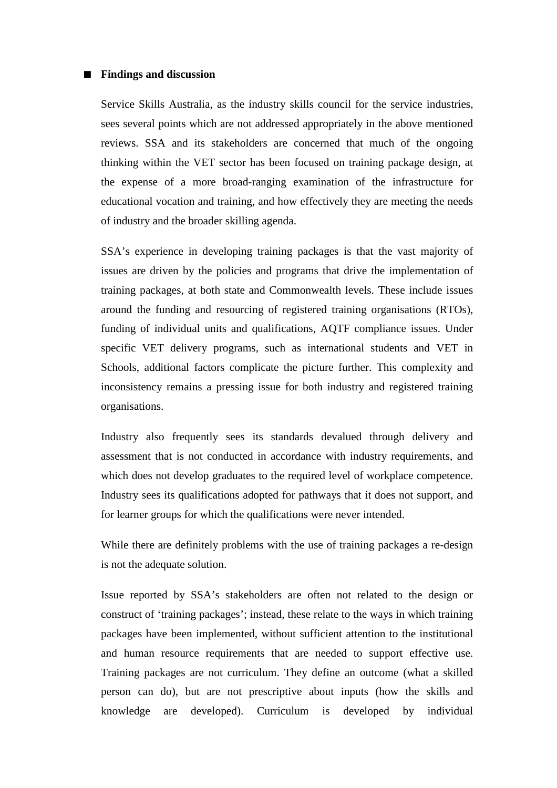#### ■ **Findings and discussion**

Service Skills Australia, as the industry skills council for the service industries, sees several points which are not addressed appropriately in the above mentioned reviews. SSA and its stakeholders are concerned that much of the ongoing thinking within the VET sector has been focused on training package design, at the expense of a more broad-ranging examination of the infrastructure for educational vocation and training, and how effectively they are meeting the needs of industry and the broader skilling agenda.

SSA's experience in developing training packages is that the vast majority of issues are driven by the policies and programs that drive the implementation of training packages, at both state and Commonwealth levels. These include issues around the funding and resourcing of registered training organisations (RTOs), funding of individual units and qualifications, AQTF compliance issues. Under specific VET delivery programs, such as international students and VET in Schools, additional factors complicate the picture further. This complexity and inconsistency remains a pressing issue for both industry and registered training organisations.

Industry also frequently sees its standards devalued through delivery and assessment that is not conducted in accordance with industry requirements, and which does not develop graduates to the required level of workplace competence. Industry sees its qualifications adopted for pathways that it does not support, and for learner groups for which the qualifications were never intended.

While there are definitely problems with the use of training packages a re-design is not the adequate solution.

Issue reported by SSA's stakeholders are often not related to the design or construct of 'training packages'; instead, these relate to the ways in which training packages have been implemented, without sufficient attention to the institutional and human resource requirements that are needed to support effective use. Training packages are not curriculum. They define an outcome (what a skilled person can do), but are not prescriptive about inputs (how the skills and knowledge are developed). Curriculum is developed by individual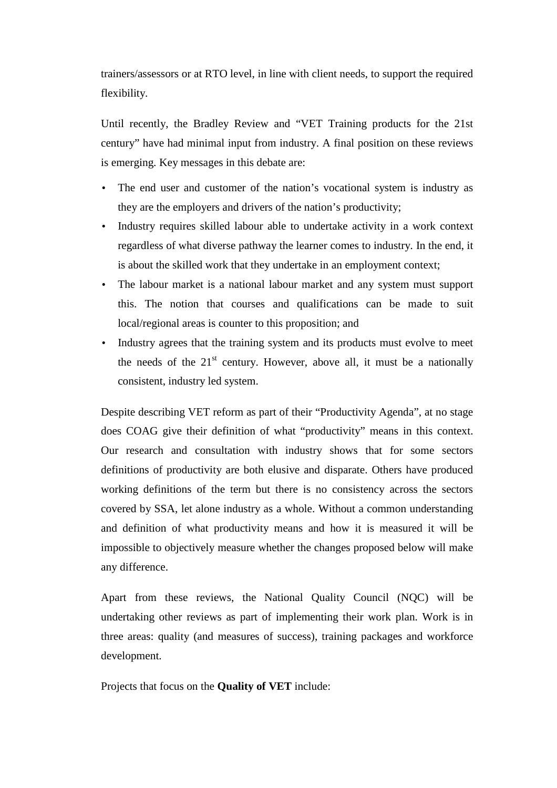trainers/assessors or at RTO level, in line with client needs, to support the required flexibility.

Until recently, the Bradley Review and "VET Training products for the 21st century" have had minimal input from industry. A final position on these reviews is emerging. Key messages in this debate are:

- The end user and customer of the nation's vocational system is industry as they are the employers and drivers of the nation's productivity;
- Industry requires skilled labour able to undertake activity in a work context regardless of what diverse pathway the learner comes to industry. In the end, it is about the skilled work that they undertake in an employment context;
- The labour market is a national labour market and any system must support this. The notion that courses and qualifications can be made to suit local/regional areas is counter to this proposition; and
- Industry agrees that the training system and its products must evolve to meet the needs of the  $21<sup>st</sup>$  century. However, above all, it must be a nationally consistent, industry led system.

Despite describing VET reform as part of their "Productivity Agenda", at no stage does COAG give their definition of what "productivity" means in this context. Our research and consultation with industry shows that for some sectors definitions of productivity are both elusive and disparate. Others have produced working definitions of the term but there is no consistency across the sectors covered by SSA, let alone industry as a whole. Without a common understanding and definition of what productivity means and how it is measured it will be impossible to objectively measure whether the changes proposed below will make any difference.

Apart from these reviews, the National Quality Council (NQC) will be undertaking other reviews as part of implementing their work plan. Work is in three areas: quality (and measures of success), training packages and workforce development.

Projects that focus on the **Quality of VET** include: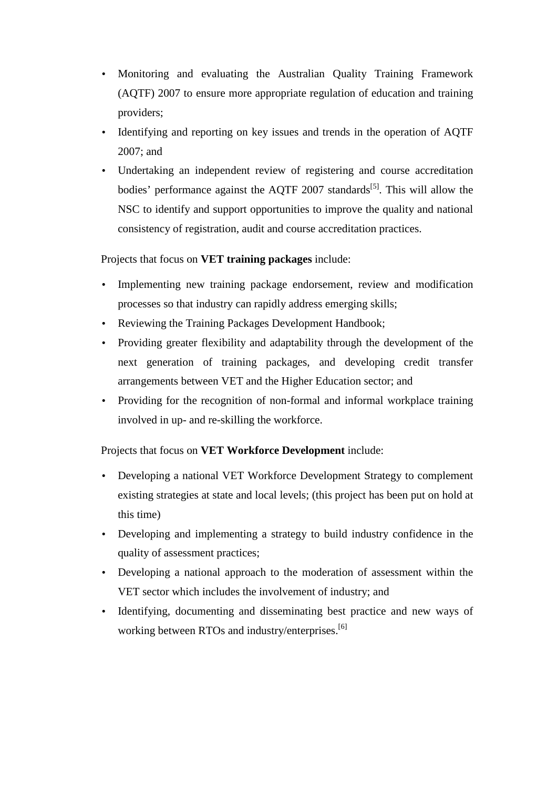- Monitoring and evaluating the Australian Quality Training Framework (AQTF) 2007 to ensure more appropriate regulation of education and training providers;
- Identifying and reporting on key issues and trends in the operation of AQTF 2007; and
- Undertaking an independent review of registering and course accreditation bodies' performance against the AQTF 2007 standards<sup>[5]</sup>. This will allow the NSC to identify and support opportunities to improve the quality and national consistency of registration, audit and course accreditation practices.

Projects that focus on **VET training packages** include:

- Implementing new training package endorsement, review and modification processes so that industry can rapidly address emerging skills;
- Reviewing the Training Packages Development Handbook;
- Providing greater flexibility and adaptability through the development of the next generation of training packages, and developing credit transfer arrangements between VET and the Higher Education sector; and
- Providing for the recognition of non-formal and informal workplace training involved in up- and re-skilling the workforce.

Projects that focus on **VET Workforce Development** include:

- Developing a national VET Workforce Development Strategy to complement existing strategies at state and local levels; (this project has been put on hold at this time)
- Developing and implementing a strategy to build industry confidence in the quality of assessment practices;
- Developing a national approach to the moderation of assessment within the VET sector which includes the involvement of industry; and
- Identifying, documenting and disseminating best practice and new ways of working between RTOs and industry/enterprises.<sup>[6]</sup>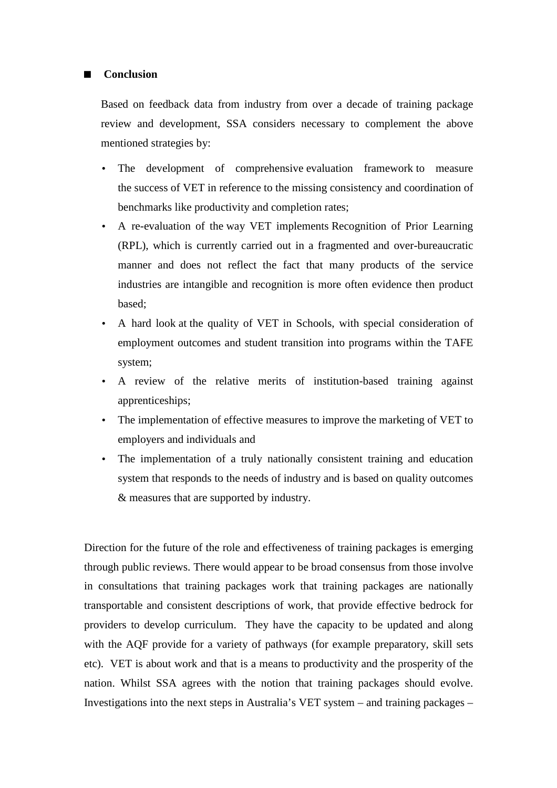## ■ **Conclusion**

Based on feedback data from industry from over a decade of training package review and development, SSA considers necessary to complement the above mentioned strategies by:

- The development of comprehensive evaluation framework to measure the success of VET in reference to the missing consistency and coordination of benchmarks like productivity and completion rates;
- A re-evaluation of the way VET implements Recognition of Prior Learning (RPL), which is currently carried out in a fragmented and over-bureaucratic manner and does not reflect the fact that many products of the service industries are intangible and recognition is more often evidence then product based;
- A hard look at the quality of VET in Schools, with special consideration of employment outcomes and student transition into programs within the TAFE system;
- A review of the relative merits of institution-based training against apprenticeships;
- The implementation of effective measures to improve the marketing of VET to employers and individuals and
- The implementation of a truly nationally consistent training and education system that responds to the needs of industry and is based on quality outcomes & measures that are supported by industry.

Direction for the future of the role and effectiveness of training packages is emerging through public reviews. There would appear to be broad consensus from those involve in consultations that training packages work that training packages are nationally transportable and consistent descriptions of work, that provide effective bedrock for providers to develop curriculum. They have the capacity to be updated and along with the AQF provide for a variety of pathways (for example preparatory, skill sets etc). VET is about work and that is a means to productivity and the prosperity of the nation. Whilst SSA agrees with the notion that training packages should evolve. Investigations into the next steps in Australia's VET system – and training packages –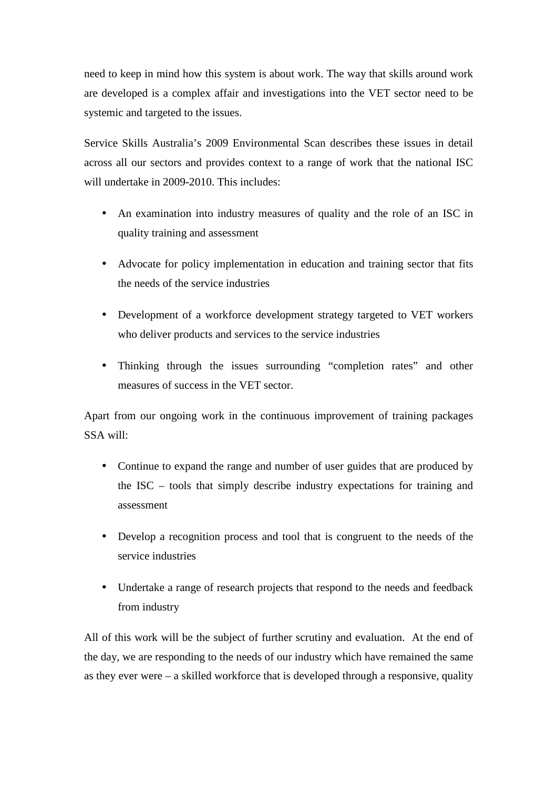need to keep in mind how this system is about work. The way that skills around work are developed is a complex affair and investigations into the VET sector need to be systemic and targeted to the issues.

Service Skills Australia's 2009 Environmental Scan describes these issues in detail across all our sectors and provides context to a range of work that the national ISC will undertake in 2009-2010. This includes:

- An examination into industry measures of quality and the role of an ISC in quality training and assessment
- Advocate for policy implementation in education and training sector that fits the needs of the service industries
- Development of a workforce development strategy targeted to VET workers who deliver products and services to the service industries
- Thinking through the issues surrounding "completion rates" and other measures of success in the VET sector.

Apart from our ongoing work in the continuous improvement of training packages SSA will:

- Continue to expand the range and number of user guides that are produced by the ISC – tools that simply describe industry expectations for training and assessment
- Develop a recognition process and tool that is congruent to the needs of the service industries
- Undertake a range of research projects that respond to the needs and feedback from industry

All of this work will be the subject of further scrutiny and evaluation. At the end of the day, we are responding to the needs of our industry which have remained the same as they ever were – a skilled workforce that is developed through a responsive, quality